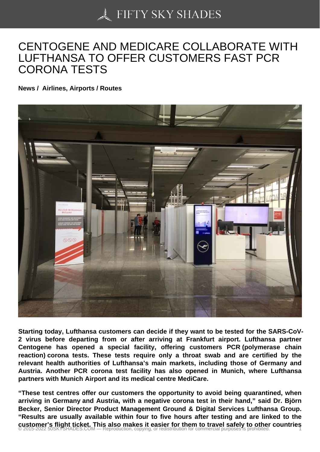## [CENTOGENE AND ME](https://50skyshades.com)DICARE COLLABORATE WITH LUFTHANSA TO OFFER CUSTOMERS FAST PCR CORONA TESTS

News / Airlines, Airports / Routes

Starting today, Lufthansa customers can decide if they want to be tested for the SARS-CoV-2 virus before departing from or after arriving at Frankfurt airport. Lufthansa partner Centogene has opened a special facility, offering customers PCR (polymerase chain reaction) corona tests. These tests require only a throat swab and are certified by the relevant health authorities of Lufthansa's main markets, including those of Germany and Austria. Another PCR corona test facility has also opened in Munich, where Lufthansa partners with Munich Airport and its medical centre MediCare.

"These test centres offer our customers the opportunity to avoid being quarantined, when arriving in Germany and Austria, with a negative corona test in their hand," said Dr. Björn Becker, Senior Director Product Management Ground & Digital Services Lufthansa Group. "Results are usually available within four to five hours after testing and are linked to the customer's flight ticket. This also makes it easier for them to travel safely to other countries © 2015-2022 50SKYSHADES.COM — Reproduction, copying, or redistribution for commercial purposes is prohibited. 1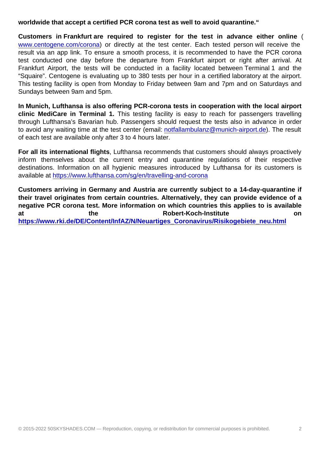Customers in Frankfurt are required to register for the test in advance either online ( www.centogene.com/corona) or directly at the test center. Each tested person will receive the result via an app link. To ensure a smooth process, it is recommended to have the PCR corona test conducted one day before the departure from Frankfurt airport or right after arrival. At [Frankfurt Airport, the tests](http://www.centogene.com/corona) will be conducted in a facility located between Terminal 1 and the "Squaire". Centogene is evaluating up to 380 tests per hour in a certified laboratory at the airport. This testing facility is open from Monday to Friday between 9am and 7pm and on Saturdays and Sundays between 9am and 5pm.

In Munich, Lufthansa is also offering PCR-corona tests in cooperation with the local airport clinic MediCare in Terminal 1. This testing facility is easy to reach for passengers travelling through Lufthansa's Bavarian hub. Passengers should request the tests also in advance in order to avoid any waiting time at the test center (email: notfallambulanz@munich-airport.de). The result of each test are available only after 3 to 4 hours later.

For all its international flights , Lufthansa recommends that customers should always proactively inform themselves about the current entry a[nd quarantine regulations of their](mailto:notfallambulanz@munich-airport.de) respective destinations. Information on all hygienic measures introduced by Lufthansa for its customers is available at https://www.lufthansa.com/sg/en/travelling-and-corona

Customers arriving in Germany and Austria are currently subject to a 14-day-quarantine if their travel originates from certain countries. Alternatively, they can provide evidence of a negative P[CR corona test. More information on which countries th](https://www.lufthansa.com/sg/en/travelling-and-corona)is applies to is available at the Robert-Koch-Institute on https://www.rki.de/DE/Content/InfAZ/N/Neuartiges\_Coronavirus/Risikogebiete\_neu.html